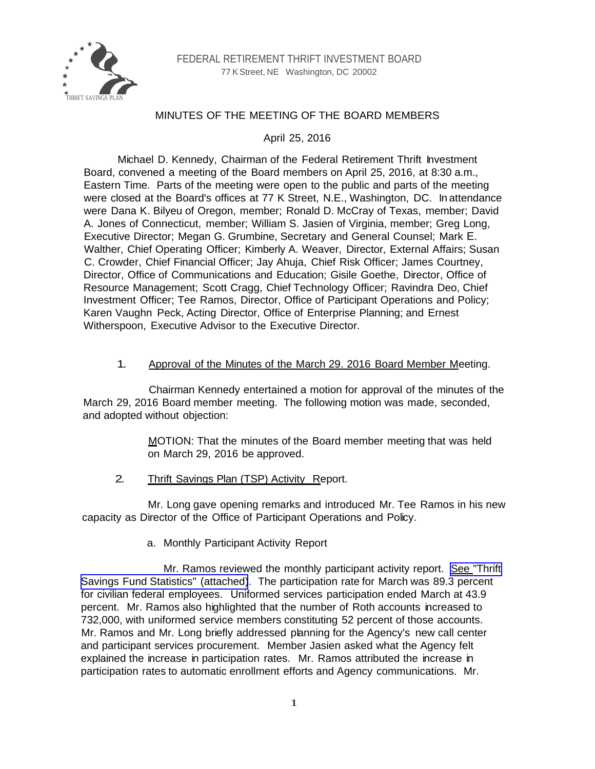

# MINUTES OF THE MEETING OF THE BOARD MEMBERS

April 25, 2016

Michael D. Kennedy, Chairman of the Federal Retirement Thrift Investment Board, convened a meeting of the Board members on April 25, 2016, at 8:30 a.m., Eastern Time. Parts of the meeting were open to the public and parts of the meeting were closed at the Board's offices at 77 K Street, N.E., Washington, DC. In attendance were Dana K. Bilyeu of Oregon, member; Ronald D. McCray of Texas, member; David A. Jones of Connecticut, member; William S. Jasien of Virginia, member; Greg Long, Executive Director; Megan G. Grumbine, Secretary and General Counsel; Mark E. Walther, Chief Operating Officer; Kimberly A. Weaver, Director, External Affairs; Susan C. Crowder, Chief Financial Officer; Jay Ahuja, Chief Risk Officer; James Courtney, Director, Office of Communications and Education; Gisile Goethe, Director, Office of Resource Management; Scott Cragg, Chief Technology Officer; Ravindra Deo, Chief Investment Officer; Tee Ramos, Director, Office of Participant Operations and Policy; Karen Vaughn Peck, Acting Director, Office of Enterprise Planning; and Ernest Witherspoon, Executive Advisor to the Executive Director.

## 1. Approval of the Minutes of the March 29. 2016 Board Member Meeting.

Chairman Kennedy entertained a motion for approval of the minutes of the March 29, 2016 Board member meeting. The following motion was made, seconded, and adopted without objection:

> MOTION: That the minutes of the Board member meeting that was held on March 29, 2016 be approved.

2. Thrift Savings Plan (TSP) Activity Report.

Mr. Long gave opening remarks and introduced Mr. Tee Ramos in his new capacity as Director of the Office of Participant Operations and Policy.

a. Monthly Participant Activity Report

Mr. Ramos reviewed the monthly participant activity report. [See "Thrift](http://www.frtib.gov/pdf/minutes/MM-2016Apr-Att1.pdf) [Savings Fund Statistics" \(attached\)](http://www.frtib.gov/pdf/minutes/MM-2016Apr-Att1.pdf). The participation rate for March was 89.3 percent for civilian federal employees. Uniformed services participation ended March at 43.9 percent. Mr. Ramos also highlighted that the number of Roth accounts increased to 732,000, with uniformed service members constituting 52 percent of those accounts. Mr. Ramos and Mr. Long briefly addressed planning for the Agency's new call center and participant services procurement. Member Jasien asked what the Agency felt explained the increase in participation rates. Mr. Ramos attributed the increase in participation rates to automatic enrollment efforts and Agency communications. Mr.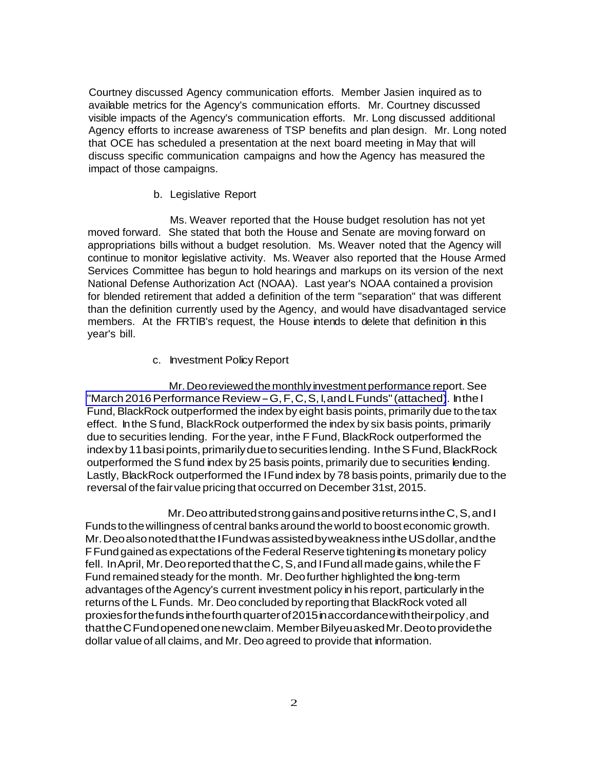Courtney discussed Agency communication efforts. Member Jasien inquired as to available metrics for the Agency's communication efforts. Mr. Courtney discussed visible impacts of the Agency's communication efforts. Mr. Long discussed additional Agency efforts to increase awareness of TSP benefits and plan design. Mr. Long noted that OCE has scheduled a presentation at the next board meeting in May that will discuss specific communication campaigns and how the Agency has measured the impact of those campaigns.

#### b. Legislative Report

Ms. Weaver reported that the House budget resolution has not yet moved forward. She stated that both the House and Senate are moving forward on appropriations bills without a budget resolution. Ms. Weaver noted that the Agency will continue to monitor legislative activity. Ms. Weaver also reported that the House Armed Services Committee has begun to hold hearings and markups on its version of the next National Defense Authorization Act (NOAA). Last year's NOAA contained a provision for blended retirement that added a definition of the term "separation" that was different than the definition currently used by the Agency, and would have disadvantaged service members. At the FRTIB's request, the House intends to delete that definition in this year's bill.

### c. Investment Policy Report

Mr. Deo reviewed the monthly investment performance report. See ["March 2016 Performance Review - G, F, C, S, I, and L Funds" \(attached\)](http://www.frtib.gov/pdf/minutes/MM-2016Apr-Att2). In the I Fund, BlackRock outperformed the index by eight basis points, primarily due to the tax effect. In the S fund, BlackRock outperformed the index by six basis points, primarily due to securities lending. For the year, in the F Fund, BlackRock outperformed the index by 11 basi points, primarily due to securities lending. In the S Fund, BlackRock outperformed the S fund index by 25 basis points, primarily due to securities lending. Lastly, BlackRock outperformed the I Fund index by 78 basis points, primarily due to the reversal of the fair value pricing that occurred on December 31st, 2015.

Mr. Deo attributed strong gains and positive returns in the C, S, and I Funds to the willingness of central banks around the world to boost economic growth. Mr. Deo also noted that the I Fund was assisted by weakness in the US dollar, and the F Fund gained as expectations of the Federal Reserve tightening its monetary policy fell. In April, Mr. Deo reported that the C, S, and I Fund all made gains, while the F Fund remained steady for the month. Mr. Deo further highlighted the long-term advantages of the Agency's current investment policy in his report, particularly in the returns of the L Funds. Mr. Deo concluded by reporting that BlackRock voted all proxies for the funds in the fourth quarter of 2015 in accordance with their policy, and that the C Fund opened one new claim. Member Bilyeu asked Mr. Deo to provide the dollar value of all claims, and Mr. Deo agreed to provide that information.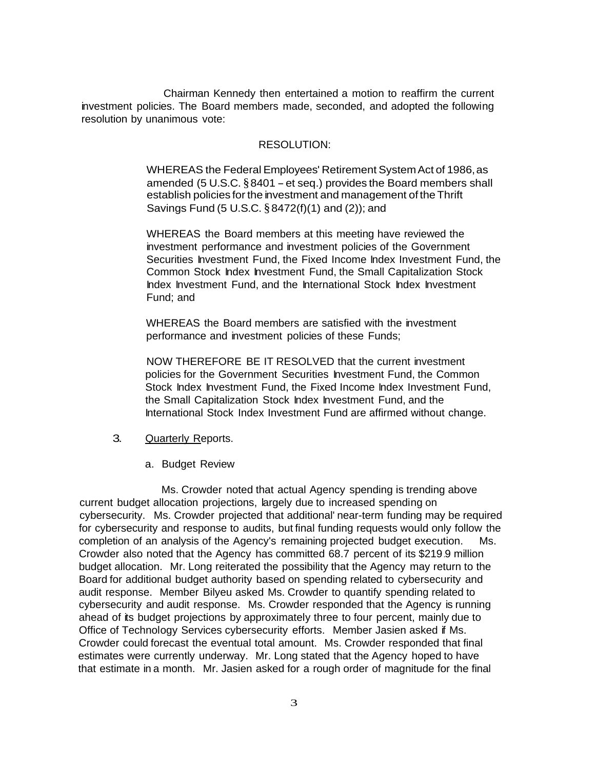Chairman Kennedy then entertained a motion to reaffirm the current investment policies. The Board members made, seconded, and adopted the following resolution by unanimous vote:

### RESOLUTION:

WHEREAS the Federal Employees' Retirement System Act of 1986, as amended (5 U.S.C.  $§ 8401 - et seq.$ ) provides the Board members shall establish policies for the investment and management of the Thrift Savings Fund (5 U.S.C. § 8472(f)(1) and (2)); and

WHEREAS the Board members at this meeting have reviewed the investment performance and investment policies of the Government Securities Investment Fund, the Fixed Income Index Investment Fund, the Common Stock Index Investment Fund, the Small Capitalization Stock Index Investment Fund, and the International Stock Index Investment Fund; and

WHEREAS the Board members are satisfied with the investment performance and investment policies of these Funds;

NOW THEREFORE BE IT RESOLVED that the current investment policies for the Government Securities Investment Fund, the Common Stock Index Investment Fund, the Fixed Income Index Investment Fund, the Small Capitalization Stock Index Investment Fund, and the International Stock Index Investment Fund are affirmed without change.

- 3. Quarterly Reports.
	- a. Budget Review

Ms. Crowder noted that actual Agency spending is trending above current budget allocation projections, largely due to increased spending on cybersecurity. Ms. Crowder projected that additional' near-term funding may be required for cybersecurity and response to audits, but final funding requests would only follow the completion of an analysis of the Agency's remaining projected budget execution. Ms. Crowder also noted that the Agency has committed 68.7 percent of its \$219.9 million budget allocation. Mr. Long reiterated the possibility that the Agency may return to the Board for additional budget authority based on spending related to cybersecurity and audit response. Member Bilyeu asked Ms. Crowder to quantify spending related to cybersecurity and audit response. Ms. Crowder responded that the Agency is running ahead of its budget projections by approximately three to four percent, mainly due to Office of Technology Services cybersecurity efforts. Member Jasien asked if Ms. Crowder could forecast the eventual total amount. Ms. Crowder responded that final estimates were currently underway. Mr. Long stated that the Agency hoped to have that estimate in a month. Mr. Jasien asked for a rough order of magnitude for the final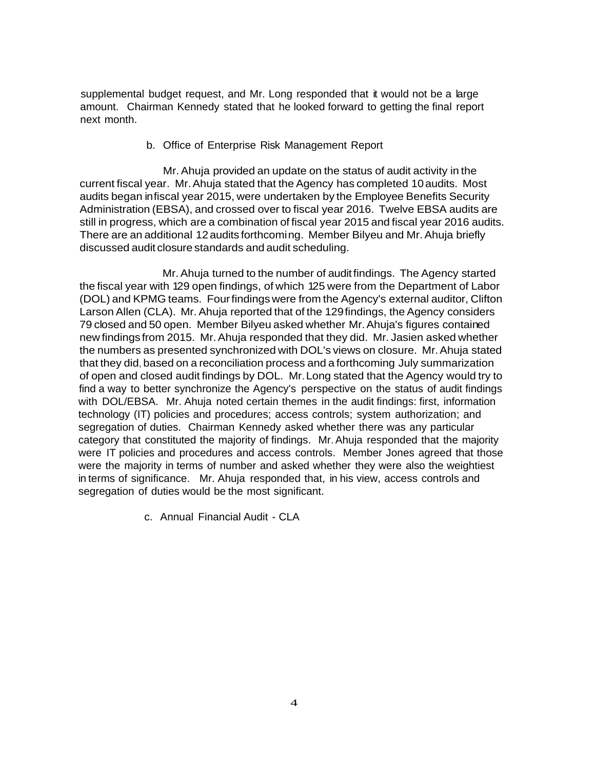supplemental budget request, and Mr. Long responded that it would not be a large amount. Chairman Kennedy stated that he looked forward to getting the final report next month.

b. Office of Enterprise Risk Management Report

Mr. Ahuja provided an update on the status of audit activity in the current fiscal year. Mr. Ahuja stated that the Agency has completed 10 audits. Most audits began in fiscal year 2015, were undertaken by the Employee Benefits Security Administration (EBSA), and crossed over to fiscal year 2016. Twelve EBSA audits are still in progress, which are a combination of fiscal year 2015 and fiscal year 2016 audits. There are an additional 12 audits forthcoming. Member Bilyeu and Mr. Ahuja briefly discussed audit closure standards and audit scheduling.

Mr. Ahuja turned to the number of audit findings. The Agency started the fiscal year with 129 open findings, of which 125 were from the Department of Labor (DOL) and KPMG teams. Four findings were from the Agency's external auditor, Clifton Larson Allen (CLA). Mr. Ahuja reported that of the 129 findings, the Agency considers 79 closed and 50 open. Member Bilyeu asked whether Mr. Ahuja's figures contained new findings from 2015. Mr. Ahuja responded that they did. Mr. Jasien asked whether the numbers as presented synchronized with DOL's views on closure. Mr. Ahuja stated that they did, based on a reconciliation process and a forthcoming July summarization of open and closed audit findings by DOL. Mr. Long stated that the Agency would try to find a way to better synchronize the Agency's perspective on the status of audit findings with DOL/EBSA. Mr. Ahuja noted certain themes in the audit findings: first, information technology (IT) policies and procedures; access controls; system authorization; and segregation of duties. Chairman Kennedy asked whether there was any particular category that constituted the majority of findings. Mr. Ahuja responded that the majority were IT policies and procedures and access controls. Member Jones agreed that those were the majority in terms of number and asked whether they were also the weightiest in terms of significance. Mr. Ahuja responded that, in his view, access controls and segregation of duties would be the most significant.

c. Annual Financial Audit - CLA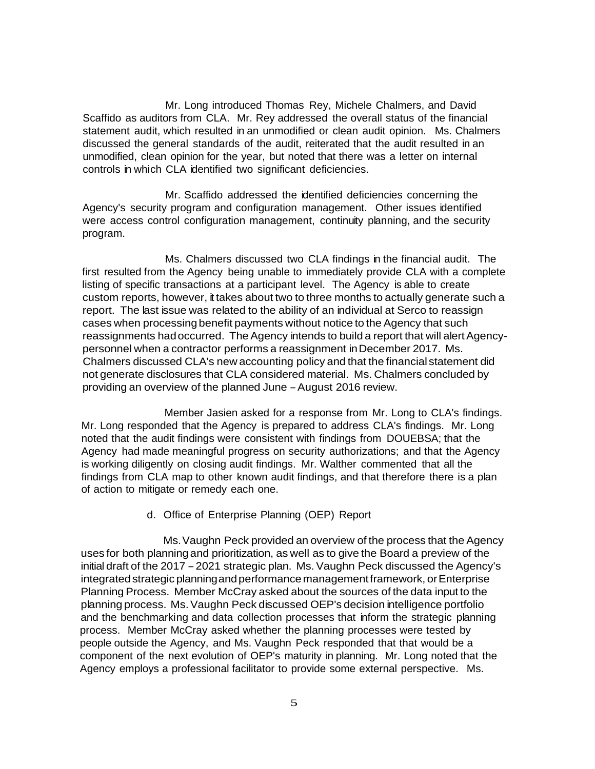Mr. Long introduced Thomas Rey, Michele Chalmers, and David Scaffido as auditors from CLA. Mr. Rey addressed the overall status of the financial statement audit, which resulted in an unmodified or clean audit opinion. Ms. Chalmers discussed the general standards of the audit, reiterated that the audit resulted in an unmodified, clean opinion for the year, but noted that there was a letter on internal controls in which CLA identified two significant deficiencies.

Mr. Scaffido addressed the identified deficiencies concerning the Agency's security program and configuration management. Other issues identified were access control configuration management, continuity planning, and the security program.

Ms. Chalmers discussed two CLA findings in the financial audit. The first resulted from the Agency being unable to immediately provide CLA with a complete listing of specific transactions at a participant level. The Agency is able to create custom reports, however, it takes about two to three months to actually generate such a report. The last issue was related to the ability of an individual at Serco to reassign cases when processing benefit payments without notice to the Agency that such reassignments had occurred. The Agency intends to build a report that will alert Agencypersonnel when a contractor performs a reassignment in December 2017. Ms. Chalmers discussed CLA's new accounting policy and that the financial statement did not generate disclosures that CLA considered material. Ms. Chalmers concluded by providing an overview of the planned June - August 2016 review.

Member Jasien asked for a response from Mr. Long to CLA's findings. Mr. Long responded that the Agency is prepared to address CLA's findings. Mr. Long noted that the audit findings were consistent with findings from DOUEBSA; that the Agency had made meaningful progress on security authorizations; and that the Agency is working diligently on closing audit findings. Mr. Walther commented that all the findings from CLA map to other known audit findings, and that therefore there is a plan of action to mitigate or remedy each one.

### d. Office of Enterprise Planning (OEP) Report

Ms. Vaughn Peck provided an overview of the process that the Agency uses for both planning and prioritization, as well as to give the Board a preview of the initial draft of the 2017 - 2021 strategic plan. Ms. Vaughn Peck discussed the Agency's integrated strategic planning and performance management framework, or Enterprise Planning Process. Member McCray asked about the sources of the data input to the planning process. Ms. Vaughn Peck discussed OEP's decision intelligence portfolio and the benchmarking and data collection processes that inform the strategic planning process. Member McCray asked whether the planning processes were tested by people outside the Agency, and Ms. Vaughn Peck responded that that would be a component of the next evolution of OEP's maturity in planning. Mr. Long noted that the Agency employs a professional facilitator to provide some external perspective. Ms.